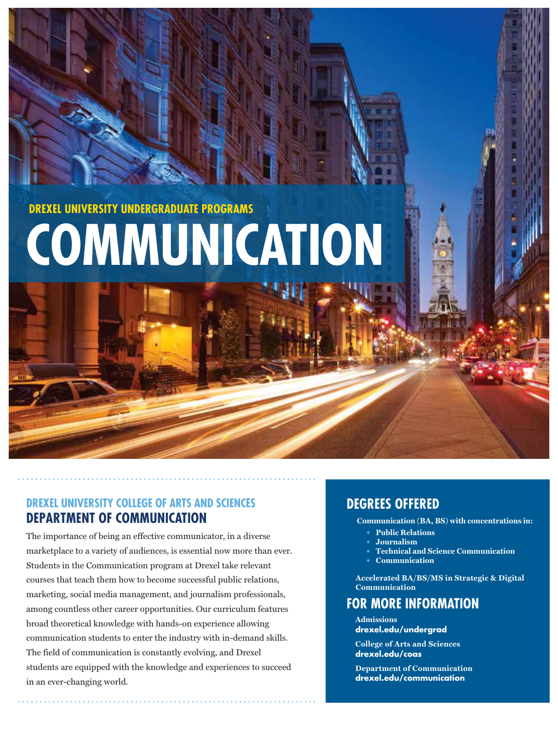**DREXEL UNIVERSITY UNDERGRADUATE PROGRAMS**

# **COMMUNICATION**

## **DREXEL UNIVERSITY COLLEGE OF ARTS AND SCIENCES DEPARTMENT OF COMMUNICATION**

The importance of being an effective communicator, in a diverse marketplace to a variety of audiences, is essential now more than ever. Students in the Communication program at Drexel take relevant courses that teach them how to become successful public relations, marketing, social media management, and journalism professionals, among countless other career opportunities. Our curriculum features broad theoretical knowledge with hands-on experience allowing communication students to enter the industry with in-demand skills. The field of communication is constantly evolving, and Drexel students are equipped with the knowledge and experiences to succeed in an ever-changing world.

# **DEGREES OFFERED**

Communication (BA, BS) with concentrations in:

- **Public Relations**
- $Journalign$
- $\textbf{The } \mathbf{A}$  **rechnical and Science Communication**
- **Communication**

 $\text{Accepted BA/BS/MS}$  in Strategic & Digital Communication

# **FOR MORE INFORMATION**

**Admissions drexel.edu/undergrad**

**College of Arts and Sciences drexel.edu/coas**

**Department of Communication drexel.edu/communication**